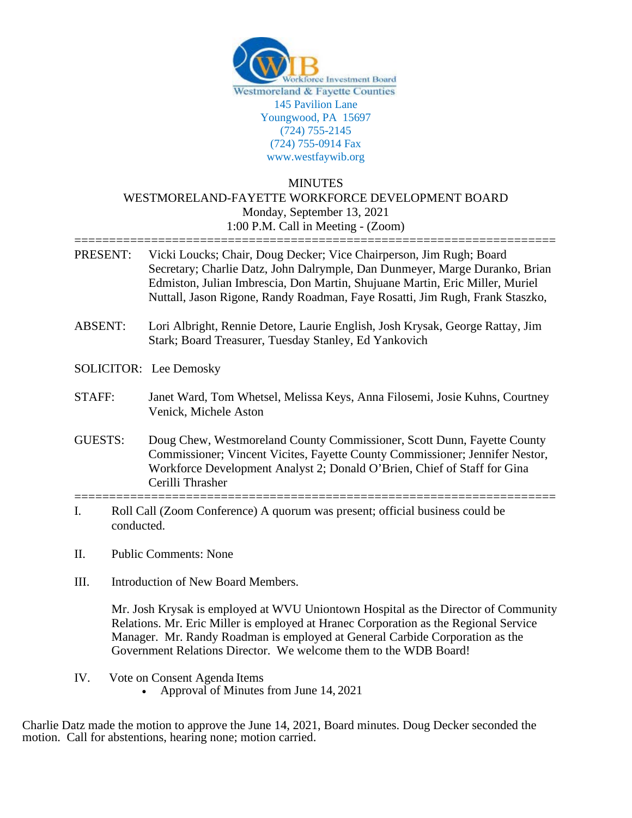

## MINUTES WESTMORELAND-FAYETTE WORKFORCE DEVELOPMENT BOARD Monday, September 13, 2021 1:00 P.M. Call in Meeting - (Zoom)

- ===================================================================== PRESENT: Vicki Loucks; Chair, Doug Decker; Vice Chairperson, Jim Rugh; Board Secretary; Charlie Datz, John Dalrymple, Dan Dunmeyer, Marge Duranko, Brian Edmiston, Julian Imbrescia, Don Martin, Shujuane Martin, Eric Miller, Muriel Nuttall, Jason Rigone, Randy Roadman, Faye Rosatti, Jim Rugh, Frank Staszko,
- ABSENT: Lori Albright, Rennie Detore, Laurie English, Josh Krysak, George Rattay, Jim Stark; Board Treasurer, Tuesday Stanley, Ed Yankovich
- SOLICITOR: Lee Demosky
- STAFF: Janet Ward, Tom Whetsel, Melissa Keys, Anna Filosemi, Josie Kuhns, Courtney Venick, Michele Aston
- GUESTS: Doug Chew, Westmoreland County Commissioner, Scott Dunn, Fayette County Commissioner; Vincent Vicites, Fayette County Commissioner; Jennifer Nestor, Workforce Development Analyst 2; Donald O'Brien, Chief of Staff for Gina Cerilli Thrasher
- ===================================================================== I. Roll Call (Zoom Conference) A quorum was present; official business could be conducted.
- II. Public Comments: None
- III. Introduction of New Board Members.

Mr. Josh Krysak is employed at WVU Uniontown Hospital as the Director of Community Relations. Mr. Eric Miller is employed at Hranec Corporation as the Regional Service Manager. Mr. Randy Roadman is employed at General Carbide Corporation as the Government Relations Director. We welcome them to the WDB Board!

- IV. Vote on Consent Agenda Items
	- Approval of Minutes from June 14, 2021

Charlie Datz made the motion to approve the June 14, 2021, Board minutes. Doug Decker seconded the motion. Call for abstentions, hearing none; motion carried.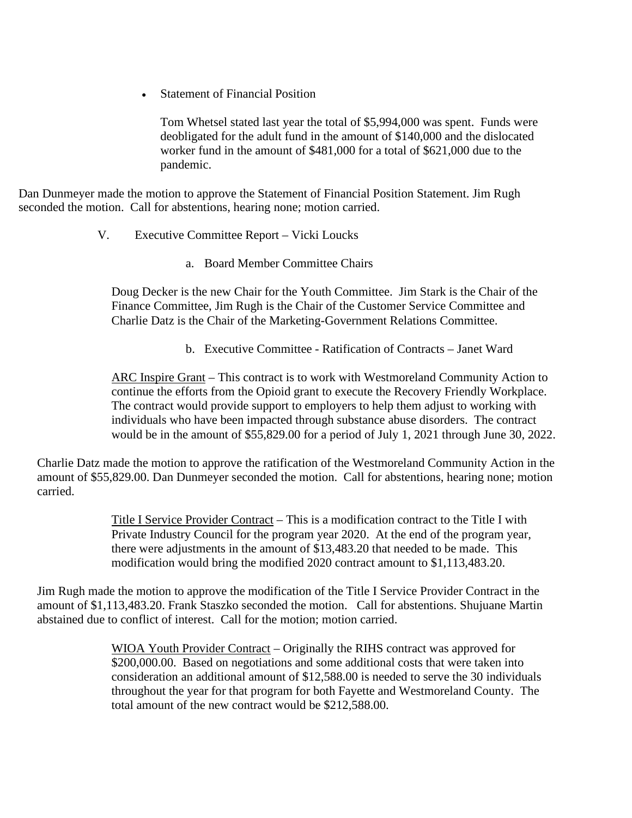• Statement of Financial Position

Tom Whetsel stated last year the total of \$5,994,000 was spent. Funds were deobligated for the adult fund in the amount of \$140,000 and the dislocated worker fund in the amount of \$481,000 for a total of \$621,000 due to the pandemic.

Dan Dunmeyer made the motion to approve the Statement of Financial Position Statement. Jim Rugh seconded the motion. Call for abstentions, hearing none; motion carried.

- V. Executive Committee Report Vicki Loucks
	- a. Board Member Committee Chairs

Doug Decker is the new Chair for the Youth Committee. Jim Stark is the Chair of the Finance Committee, Jim Rugh is the Chair of the Customer Service Committee and Charlie Datz is the Chair of the Marketing-Government Relations Committee.

b. Executive Committee - Ratification of Contracts – Janet Ward

ARC Inspire Grant – This contract is to work with Westmoreland Community Action to continue the efforts from the Opioid grant to execute the Recovery Friendly Workplace. The contract would provide support to employers to help them adjust to working with individuals who have been impacted through substance abuse disorders. The contract would be in the amount of \$55,829.00 for a period of July 1, 2021 through June 30, 2022.

Charlie Datz made the motion to approve the ratification of the Westmoreland Community Action in the amount of \$55,829.00. Dan Dunmeyer seconded the motion. Call for abstentions, hearing none; motion carried.

> Title I Service Provider Contract – This is a modification contract to the Title I with Private Industry Council for the program year 2020. At the end of the program year, there were adjustments in the amount of \$13,483.20 that needed to be made. This modification would bring the modified 2020 contract amount to \$1,113,483.20.

Jim Rugh made the motion to approve the modification of the Title I Service Provider Contract in the amount of \$1,113,483.20. Frank Staszko seconded the motion. Call for abstentions. Shujuane Martin abstained due to conflict of interest. Call for the motion; motion carried.

> WIOA Youth Provider Contract – Originally the RIHS contract was approved for \$200,000.00. Based on negotiations and some additional costs that were taken into consideration an additional amount of \$12,588.00 is needed to serve the 30 individuals throughout the year for that program for both Fayette and Westmoreland County. The total amount of the new contract would be \$212,588.00.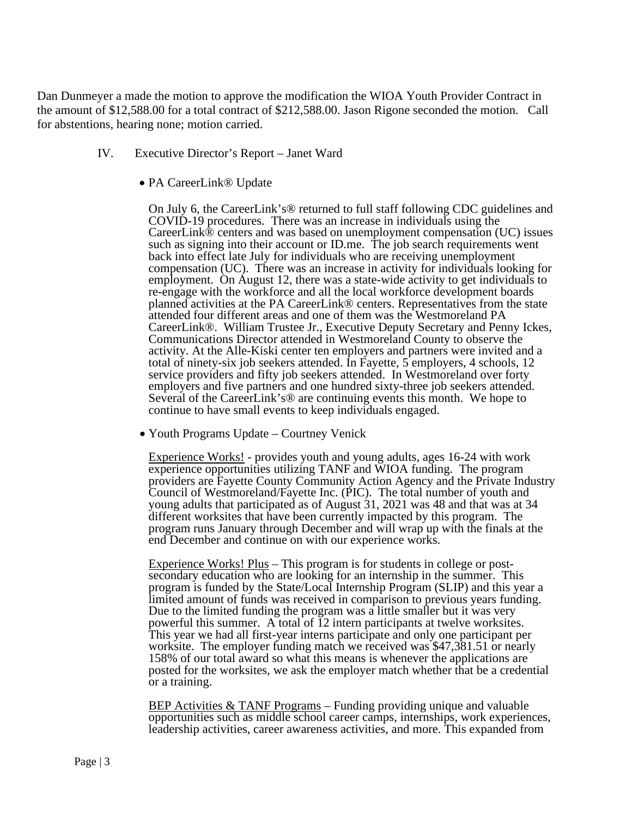Dan Dunmeyer a made the motion to approve the modification the WIOA Youth Provider Contract in the amount of \$12,588.00 for a total contract of \$212,588.00. Jason Rigone seconded the motion. Call for abstentions, hearing none; motion carried.

- IV. Executive Director's Report Janet Ward
	- PA CareerLink® Update

On July 6, the CareerLink's® returned to full staff following CDC guidelines and COVID-19 procedures. There was an increase in individuals using the CareerLink® centers and was based on unemployment compensation (UC) issues such as signing into their account or ID.me. The job search requirements went back into effect late July for individuals who are receiving unemployment compensation (UC). There was an increase in activity for individuals looking for employment. On August 12, there was a state-wide activity to get individuals to re-engage with the workforce and all the local workforce development boards planned activities at the PA CareerLink® centers. Representatives from the state attended four different areas and one of them was the Westmoreland PA CareerLink®. William Trustee Jr., Executive Deputy Secretary and Penny Ickes, Communications Director attended in Westmoreland County to observe the activity. At the Alle-Kiski center ten employers and partners were invited and a total of ninety-six job seekers attended. In Fayette, 5 employers, 4 schools, 12 service providers and fifty job seekers attended. In Westmoreland over forty employers and five partners and one hundred sixty-three job seekers attended. Several of the CareerLink's® are continuing events this month. We hope to continue to have small events to keep individuals engaged.

• Youth Programs Update – Courtney Venick

Experience Works! - provides youth and young adults, ages 16-24 with work experience opportunities utilizing TANF and WIOA funding. The program providers are Fayette County Community Action Agency and the Private Industry Council of Westmoreland/Fayette Inc. (PIC). The total number of youth and young adults that participated as of August 31, 2021 was 48 and that was at 34 different worksites that have been currently impacted by this program. The program runs January through December and will wrap up with the finals at the end December and continue on with our experience works.

Experience Works! Plus – This program is for students in college or post-<br>secondary education who are looking for an internship in the summer. This program is funded by the State/Local Internship Program (SLIP) and this year a limited amount of funds was received in comparison to previous years funding. Due to the limited funding the program was a little smaller but it was very powerful this summer. A total of 12 intern participants at twelve worksites. This year we had all first-year interns participate and only one participant per worksite. The employer funding match we received was \$47,381.51 or nearly 158% of our total award so what this means is whenever the applications are posted for the worksites, we ask the employer match whether that be a credential or a training.

BEP Activities & TANF Programs – Funding providing unique and valuable opportunities such as middle school career camps, internships, work experiences, leadership activities, career awareness activities, and more. This expanded from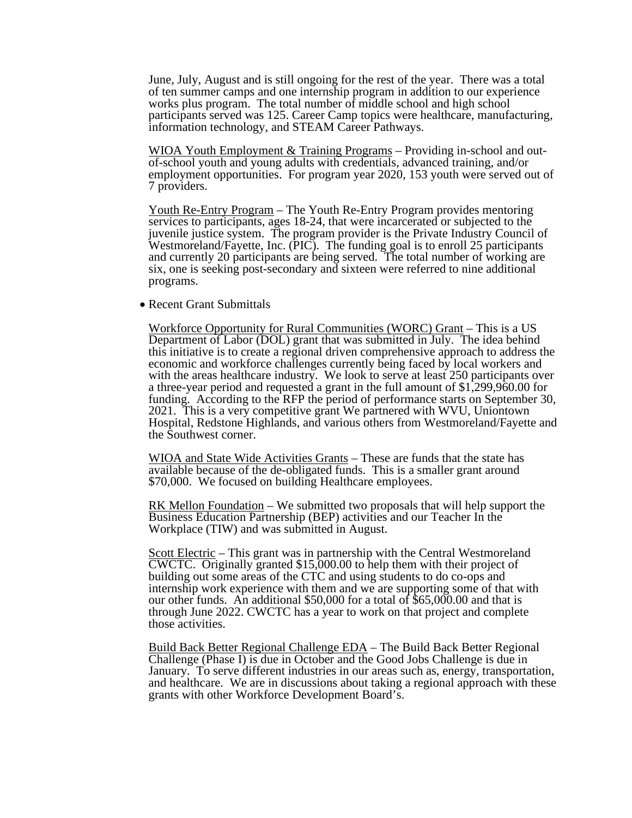June, July, August and is still ongoing for the rest of the year. There was a total of ten summer camps and one internship program in addition to our experience works plus program. The total number of middle school and high school participants served was 125. Career Camp topics were healthcare, manufacturing, information technology, and STEAM Career Pathways.

WIOA Youth Employment & Training Programs – Providing in-school and out-<br>of-school youth and young adults with credentials, advanced training, and/or employment opportunities. For program year 2020, 153 youth were served out of 7 providers.

Youth Re-Entry Program – The Youth Re-Entry Program provides mentoring services to participants, ages 18-24, that were incarcerated or subjected to the juvenile justice system. The program provider is the Private Industry Council of Westmoreland/Fayette, Inc. (PIC). The funding goal is to enroll 25 participants and currently 20 participants are being served. The total number of working are six, one is seeking post-secondary and sixteen were referred to nine additional programs.

• Recent Grant Submittals

Workforce Opportunity for Rural Communities (WORC) Grant – This is a US Department of Labor (DOL) grant that was submitted in July. The idea behind this initiative is to create a regional driven comprehensive approach to address the economic and workforce challenges currently being faced by local workers and with the areas healthcare industry. We look to serve at least 250 participants over a three-year period and requested a grant in the full amount of \$1,299,960.00 for funding. According to the RFP the period of performance starts on September 30, 2021. This is a very competitive grant We partnered with WVU, Uniontown Hospital, Redstone Highlands, and various others from Westmoreland/Fayette and the Southwest corner.

WIOA and State Wide Activities Grants – These are funds that the state has available because of the de-obligated funds. This is a smaller grant around \$70,000. We focused on building Healthcare employees.

RK Mellon Foundation – We submitted two proposals that will help support the Business Education Partnership (BEP) activities and our Teacher In the Workplace (TIW) and was submitted in August.

Scott Electric – This grant was in partnership with the Central Westmoreland CWCTC. Originally granted \$15,000.00 to help them with their project of building out some areas of the CTC and using students to do co-ops and internship work experience with them and we are supporting some of that with our other funds. An additional \$50,000 for a total of \$65,000.00 and that is through June 2022. CWCTC has a year to work on that project and complete those activities.

Build Back Better Regional Challenge EDA – The Build Back Better Regional Challenge (Phase I) is due in October and the Good Jobs Challenge is due in and healthcare. We are in discussions about taking a regional approach with these grants with other Workforce Development Board's.